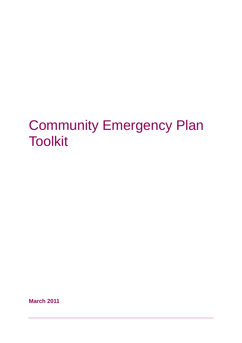# Community Emergency Plan **Toolkit**

**March 2011**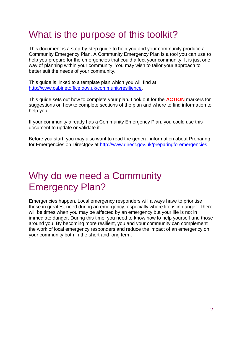### What is the purpose of this toolkit?

This document is a step-by-step guide to help you and your community produce a Community Emergency Plan. A Community Emergency Plan is a tool you can use to help you prepare for the emergencies that could affect your community. It is just one way of planning within your community. You may wish to tailor your approach to better suit the needs of your community.

This guide is linked to a template plan which you will find at [http://www.cabinetoffice.gov.uk/communityresilience.](http://www.cabinetoffice.gov.uk/communityresilience)

This guide sets out how to complete your plan. Look out for the **ACTION** markers for suggestions on how to complete sections of the plan and where to find information to help you.

If your community already has a Community Emergency Plan, you could use this document to update or validate it.

Before you start, you may also want to read the general information about Preparing for Emergencies on Directgov at<http://www.direct.gov.uk/preparingforemergencies>

### Why do we need a Community Emergency Plan?

Emergencies happen. Local emergency responders will always have to prioritise those in greatest need during an emergency, especially where life is in danger. There will be times when you may be affected by an emergency but your life is not in immediate danger. During this time, you need to know how to help yourself and those around you. By becoming more resilient, you and your community can complement the work of local emergency responders and reduce the impact of an emergency on your community both in the short and long term.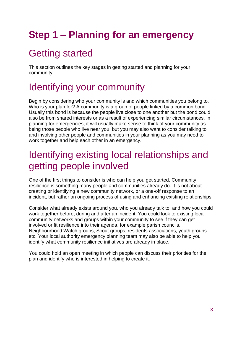# **Step 1 – Planning for an emergency**

# Getting started

This section outlines the key stages in getting started and planning for your community.

### Identifying your community

Begin by considering who your community is and which communities you belong to. Who is your plan for? A community is a group of people linked by a common bond. Usually this bond is because the people live close to one another but the bond could also be from shared interests or as a result of experiencing similar circumstances. In planning for emergencies, it will usually make sense to think of your community as being those people who live near you, but you may also want to consider talking to and involving other people and communities in your planning as you may need to work together and help each other in an emergency.

### Identifying existing local relationships and getting people involved

One of the first things to consider is who can help you get started. Community resilience is something many people and communities already do. It is not about creating or identifying a new community network, or a one-off response to an incident, but rather an ongoing process of using and enhancing existing relationships.

Consider what already exists around you, who you already talk to, and how you could work together before, during and after an incident. You could look to existing local community networks and groups within your community to see if they can get involved or fit resilience into their agenda, for example parish councils, Neighbourhood Watch groups, Scout groups, residents associations, youth groups etc. Your local authority emergency planning team may also be able to help you identify what community resilience initiatives are already in place.

You could hold an open meeting in which people can discuss their priorities for the plan and identify who is interested in helping to create it.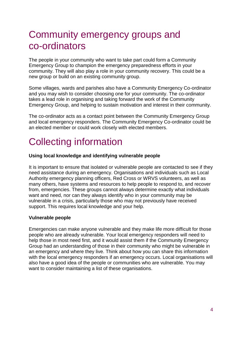### Community emergency groups and co-ordinators

The people in your community who want to take part could form a Community Emergency Group to champion the emergency preparedness efforts in your community. They will also play a role in your community recovery. This could be a new group or build on an existing community group.

Some villages, wards and parishes also have a Community Emergency Co-ordinator and you may wish to consider choosing one for your community. The co-ordinator takes a lead role in organising and taking forward the work of the Community Emergency Group, and helping to sustain motivation and interest in their community.

The co-ordinator acts as a contact point between the Community Emergency Group and local emergency responders. The Community Emergency Co-ordinator could be an elected member or could work closely with elected members.

# Collecting information

#### **Using local knowledge and identifying vulnerable people**

It is important to ensure that isolated or vulnerable people are contacted to see if they need assistance during an emergency. Organisations and individuals such as Local Authority emergency planning officers, Red Cross or WRVS volunteers, as well as many others, have systems and resources to help people to respond to, and recover from, emergencies. These groups cannot always determine exactly what individuals want and need, nor can they always identify who in your community may be vulnerable in a crisis, particularly those who may not previously have received support. This requires local knowledge and your help.

#### **Vulnerable people**

Emergencies can make anyone vulnerable and they make life more difficult for those people who are already vulnerable. Your local emergency responders will need to help those in most need first, and it would assist them if the Community Emergency Group had an understanding of those in their community who might be vulnerable in an emergency and where they live. Think about how you can share this information with the local emergency responders if an emergency occurs. Local organisations will also have a good idea of the people or communities who are vulnerable. You may want to consider maintaining a list of these organisations.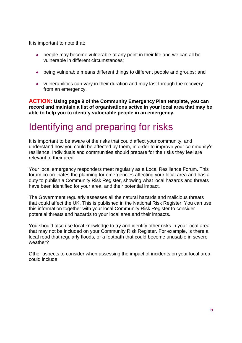It is important to note that:

- people may become vulnerable at any point in their life and we can all be vulnerable in different circumstances;
- being vulnerable means different things to different people and groups; and
- vulnerabilities can vary in their duration and may last through the recovery from an emergency.

**ACTION: Using page 9 of the Community Emergency Plan template, you can record and maintain a list of organisations active in your local area that may be able to help you to identify vulnerable people in an emergency.**

# Identifying and preparing for risks

It is important to be aware of the risks that could affect your community, and understand how you could be affected by them, in order to improve your community's resilience. Individuals and communities should prepare for the risks they feel are relevant to their area.

Your local emergency responders meet regularly as a Local Resilience Forum. This forum co-ordinates the planning for emergencies affecting your local area and has a duty to publish a Community Risk Register, showing what local hazards and threats have been identified for your area, and their potential impact.

The Government regularly assesses all the natural hazards and malicious threats that could affect the UK. This is published in the National Risk Register. You can use this information together with your local Community Risk Register to consider potential threats and hazards to your local area and their impacts.

You should also use local knowledge to try and identify other risks in your local area that may not be included on your Community Risk Register. For example, is there a local road that regularly floods, or a footpath that could become unusable in severe weather?

Other aspects to consider when assessing the impact of incidents on your local area could include: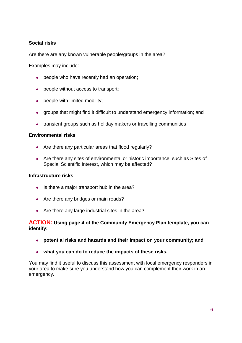#### **Social risks**

Are there are any known vulnerable people/groups in the area?

Examples may include:

- people who have recently had an operation;
- people without access to transport;
- people with limited mobility;
- groups that might find it difficult to understand emergency information; and
- transient groups such as holiday makers or travelling communities

#### **Environmental risks**

- Are there any particular areas that flood regularly?
- Are there any sites of environmental or historic importance, such as Sites of Special Scientific Interest, which may be affected?

#### **Infrastructure risks**

- Is there a major transport hub in the area?
- Are there any bridges or main roads?
- Are there any large industrial sites in the area?

#### **ACTION: Using page 4 of the Community Emergency Plan template, you can identify:**

- **potential risks and hazards and their impact on your community; and**
- **what you can do to reduce the impacts of these risks.**

You may find it useful to discuss this assessment with local emergency responders in your area to make sure you understand how you can complement their work in an emergency.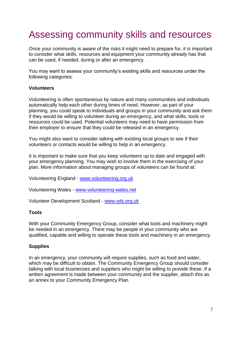### Assessing community skills and resources

Once your community is aware of the risks it might need to prepare for, it is important to consider what skills, resources and equipment your community already has that can be used, if needed, during or after an emergency.

You may want to assess your community's existing skills and resources under the following categories:

#### **Volunteers**

Volunteering is often spontaneous by nature and many communities and individuals automatically help each other during times of need. However, as part of your planning, you could speak to individuals and groups in your community and ask them if they would be willing to volunteer during an emergency, and what skills, tools or resources could be used. Potential volunteers may need to have permission from their employer to ensure that they could be released in an emergency.

You might also want to consider talking with existing local groups to see if their volunteers or contacts would be willing to help in an emergency.

It is important to make sure that you keep volunteers up to date and engaged with your emergency planning. You may wish to involve them in the exercising of your plan. More information about managing groups of volunteers can be found at:

Volunteering England - [www.volunteering.org.uk](http://www.volunteering.org.uk/)

Volunteering Wales - [www.volunteering-wales.net](http://www.volunteering-wales.net/)

Volunteer Development Scotland - [www.vds.org.uk](http://www.vds.org.uk/)

#### **Tools**

With your Community Emergency Group, consider what tools and machinery might be needed in an emergency. There may be people in your community who are qualified, capable and willing to operate these tools and machinery in an emergency.

#### **Supplies**

In an emergency, your community will require supplies, such as food and water, which may be difficult to obtain. The Community Emergency Group should consider talking with local businesses and suppliers who might be willing to provide these. If a written agreement is made between your community and the supplier, attach this as an annex to your Community Emergency Plan.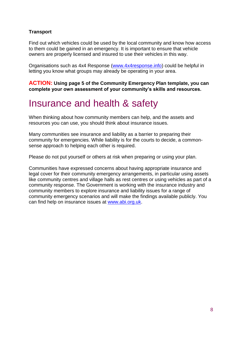#### **Transport**

Find out which vehicles could be used by the local community and know how access to them could be gained in an emergency. It is important to ensure that vehicle owners are properly licensed and insured to use their vehicles in this way.

Organisations such as 4x4 Response [\(www.4x4response.info\)](http://www.4x4response.info/) could be helpful in letting you know what groups may already be operating in your area.

**ACTION: Using page 5 of the Community Emergency Plan template, you can complete your own assessment of your community's skills and resources.**

### Insurance and health & safety

When thinking about how community members can help, and the assets and resources you can use, you should think about insurance issues.

Many communities see insurance and liability as a barrier to preparing their community for emergencies. While liability is for the courts to decide, a commonsense approach to helping each other is required.

Please do not put yourself or others at risk when preparing or using your plan.

Communities have expressed concerns about having appropriate insurance and legal cover for their community emergency arrangements, in particular using assets like community centres and village halls as rest centres or using vehicles as part of a community response. The Government is working with the insurance industry and community members to explore insurance and liability issues for a range of community emergency scenarios and will make the findings available publicly. You can find help on insurance issues at [www.abi.org.uk.](http://www.abi.org.uk/)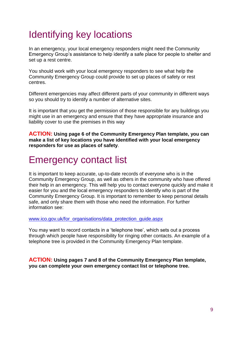# Identifying key locations

In an emergency, your local emergency responders might need the Community Emergency Group's assistance to help identify a safe place for people to shelter and set up a rest centre.

You should work with your local emergency responders to see what help the Community Emergency Group could provide to set up places of safety or rest centres.

Different emergencies may affect different parts of your community in different ways so you should try to identify a number of alternative sites.

It is important that you get the permission of those responsible for any buildings you might use in an emergency and ensure that they have appropriate insurance and liability cover to use the premises in this way

**ACTION: Using page 6 of the Community Emergency Plan template, you can make a list of key locations you have identified with your local emergency responders for use as places of safety**.

### Emergency contact list

It is important to keep accurate, up-to-date records of everyone who is in the Community Emergency Group, as well as others in the community who have offered their help in an emergency. This will help you to contact everyone quickly and make it easier for you and the local emergency responders to identify who is part of the Community Emergency Group. It is important to remember to keep personal details safe, and only share them with those who need the information. For further information see:

[www.ico.gov.uk/for\\_organisations/data\\_protection\\_guide.aspx](http://www.ico.gov.uk/for_organisations/data_protection_guide.aspx)

You may want to record contacts in a 'telephone tree', which sets out a process through which people have responsibility for ringing other contacts. An example of a telephone tree is provided in the Community Emergency Plan template.

**ACTION: Using pages 7 and 8 of the Community Emergency Plan template, you can complete your own emergency contact list or telephone tree.**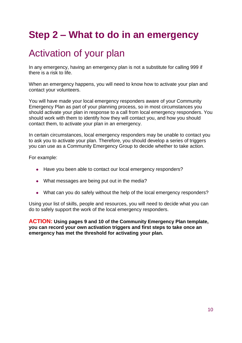# **Step 2 – What to do in an emergency**

### Activation of your plan

In any emergency, having an emergency plan is not a substitute for calling 999 if there is a risk to life.

When an emergency happens, you will need to know how to activate your plan and contact your volunteers.

You will have made your local emergency responders aware of your Community Emergency Plan as part of your planning process, so in most circumstances you should activate your plan in response to a call from local emergency responders. You should work with them to identify how they will contact you, and how you should contact them, to activate your plan in an emergency.

In certain circumstances, local emergency responders may be unable to contact you to ask you to activate your plan. Therefore, you should develop a series of triggers you can use as a Community Emergency Group to decide whether to take action.

For example:

- Have you been able to contact our local emergency responders?
- What messages are being put out in the media?
- What can you do safely without the help of the local emergency responders?

Using your list of skills, people and resources, you will need to decide what you can do to safely support the work of the local emergency responders.

**ACTION: Using pages 9 and 10 of the Community Emergency Plan template, you can record your own activation triggers and first steps to take once an emergency has met the threshold for activating your plan.**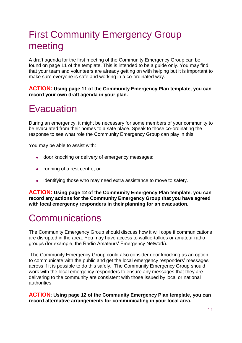### First Community Emergency Group meeting

A draft agenda for the first meeting of the Community Emergency Group can be found on page 11 of the template. This is intended to be a guide only. You may find that your team and volunteers are already getting on with helping but it is important to make sure everyone is safe and working in a co-ordinated way.

**ACTION: Using page 11 of the Community Emergency Plan template, you can record your own draft agenda in your plan.**

### **Evacuation**

During an emergency, it might be necessary for some members of your community to be evacuated from their homes to a safe place. Speak to those co-ordinating the response to see what role the Community Emergency Group can play in this.

You may be able to assist with:

- door knocking or delivery of emergency messages;
- running of a rest centre; or
- identifying those who may need extra assistance to move to safety.

**ACTION: Using page 12 of the Community Emergency Plan template, you can record any actions for the Community Emergency Group that you have agreed with local emergency responders in their planning for an evacuation.**

### **Communications**

The Community Emergency Group should discuss how it will cope if communications are disrupted in the area. You may have access to walkie-talkies or amateur radio groups (for example, the Radio Amateurs' Emergency Network).

The Community Emergency Group could also consider door knocking as an option to communicate with the public and get the local emergency responders' messages across if it is possible to do this safely. The Community Emergency Group should work with the local emergency responders to ensure any messages that they are delivering to the community are consistent with those issued by local or national authorities.

**ACTION**: **Using page 12 of the Community Emergency Plan template, you can record alternative arrangements for communicating in your local area.**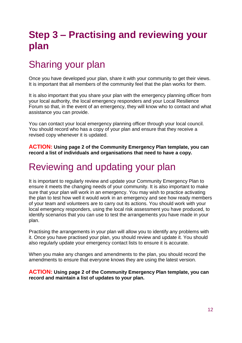# **Step 3 – Practising and reviewing your plan**

# Sharing your plan

Once you have developed your plan, share it with your community to get their views. It is important that all members of the community feel that the plan works for them.

It is also important that you share your plan with the emergency planning officer from your local authority, the local emergency responders and your Local Resilience Forum so that, in the event of an emergency, they will know who to contact and what assistance you can provide.

You can contact your local emergency planning officer through your local council. You should record who has a copy of your plan and ensure that they receive a revised copy whenever it is updated.

**ACTION: Using page 2 of the Community Emergency Plan template, you can record a list of individuals and organisations that need to have a copy.**

### Reviewing and updating your plan

It is important to regularly review and update your Community Emergency Plan to ensure it meets the changing needs of your community. It is also important to make sure that your plan will work in an emergency. You may wish to practice activating the plan to test how well it would work in an emergency and see how ready members of your team and volunteers are to carry out its actions. You should work with your local emergency responders, using the local risk assessment you have produced, to identify scenarios that you can use to test the arrangements you have made in your plan.

Practising the arrangements in your plan will allow you to identify any problems with it. Once you have practised your plan, you should review and update it. You should also regularly update your emergency contact lists to ensure it is accurate.

When you make any changes and amendments to the plan, you should record the amendments to ensure that everyone knows they are using the latest version.

**ACTION: Using page 2 of the Community Emergency Plan template, you can record and maintain a list of updates to your plan.**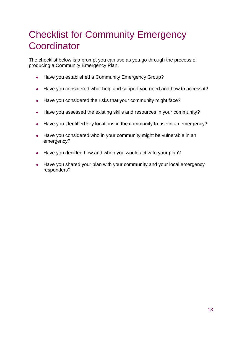### Checklist for Community Emergency **Coordinator**

The checklist below is a prompt you can use as you go through the process of producing a Community Emergency Plan.

- Have you established a Community Emergency Group?
- Have you considered what help and support you need and how to access it?  $\bullet$
- Have you considered the risks that your community might face?
- Have you assessed the existing skills and resources in your community?
- Have you identified key locations in the community to use in an emergency?
- Have you considered who in your community might be vulnerable in an emergency?
- Have you decided how and when you would activate your plan?
- Have you shared your plan with your community and your local emergency responders?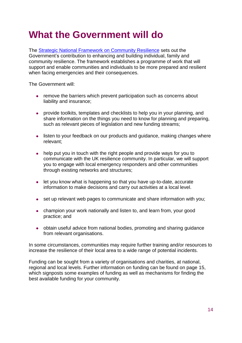# **What the Government will do**

The [Strategic National Framework on](http://www.cabinetoffice.gov.uk/communityresilience) Community Resilience sets out the Government's contribution to enhancing and building individual, family and community resilience. The framework establishes a programme of work that will support and enable communities and individuals to be more prepared and resilient when facing emergencies and their consequences.

The Government will:

- remove the barriers which prevent participation such as concerns about liability and insurance;
- provide toolkits, templates and checklists to help you in your planning, and share information on the things you need to know for planning and preparing, such as relevant pieces of legislation and new funding streams;
- listen to your feedback on our products and quidance, making changes where relevant;
- help put you in touch with the right people and provide ways for you to communicate with the UK resilience community. In particular, we will support you to engage with local emergency responders and other communities through existing networks and structures;
- let you know what is happening so that you have up-to-date, accurate information to make decisions and carry out activities at a local level.
- set up relevant web pages to communicate and share information with you;
- champion your work nationally and listen to, and learn from, your good practice; and
- obtain useful advice from national bodies, promoting and sharing guidance from relevant organisations.

In some circumstances, communities may require further training and/or resources to increase the resilience of their local area to a wide range of potential incidents.

Funding can be sought from a variety of organisations and charities, at national, regional and local levels. Further information on funding can be found on page 15, which signposts some examples of funding as well as mechanisms for finding the best available funding for your community.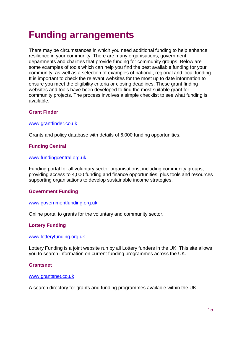# **Funding arrangements**

There may be circumstances in which you need additional funding to help enhance resilience in your community. There are many organisations, government departments and charities that provide funding for community groups. Below are some examples of tools which can help you find the best available funding for your community, as well as a selection of examples of national, regional and local funding. It is important to check the relevant websites for the most up to date information to ensure you meet the eligibility criteria or closing deadlines. These grant finding websites and tools have been developed to find the most suitable grant for community projects. The process involves a simple checklist to see what funding is available.

#### **Grant Finder**

#### [www.grantfinder.co.uk](http://www.grantfinder.co.uk/)

Grants and policy database with details of 6,000 funding opportunities.

#### **Funding Central**

#### [www.fundingcentral.org.uk](http://www.fundingcentral.org.uk/)

Funding portal for all voluntary sector organisations, including community groups, providing access to 4,000 funding and finance opportunities, plus tools and resources supporting organisations to develop sustainable income strategies.

#### **Government Funding**

#### [www.governmentfunding.org.uk](http://www.governmentfunding.org.uk/)

Online portal to grants for the voluntary and community sector.

#### **Lottery Funding**

#### [www.lotteryfunding.org.uk](http://www.lotteryfunding.org.uk/)

Lottery Funding is a joint website run by all Lottery funders in the UK. This site allows you to search information on current funding programmes across the UK.

#### **Grantsnet**

#### [www.grantsnet.co.uk](http://www.grantsnet.co.uk/)

A search directory for grants and funding programmes available within the UK.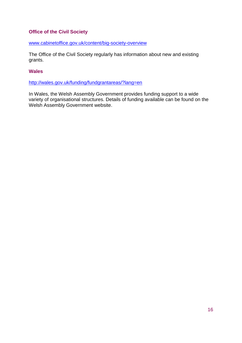#### **Office of the Civil Society**

[www.cabinetoffice.gov.uk/content/big-society-overview](http://www.cabinetoffice.gov.uk/content/big-society-overview)

The Office of the Civil Society regularly has information about new and existing grants.

#### **Wales**

<http://wales.gov.uk/funding/fundgrantareas/?lang=en>

In Wales, the Welsh Assembly Government provides funding support to a wide variety of organisational structures. Details of funding available can be found on the Welsh Assembly Government website.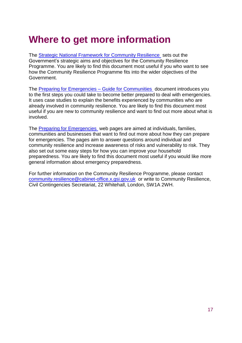## **Where to get more information**

The [Strategic National Framework for Community Resilience](http://www.cabinetoffice.gov.uk/communityresilience) sets out the Government's strategic aims and objectives for the Community Resilience Programme. You are likely to find this document most useful if you who want to see how the Community Resilience Programme fits into the wider objectives of the Government.

The Preparing for Emergencies - Guide for Communities document introduces you to the first steps you could take to become better prepared to deal with emergencies. It uses case studies to explain the benefits experienced by communities who are already involved in community resilience. You are likely to find this document most useful if you are new to community resilience and want to find out more about what is involved.

The [Preparing for Emergencies](http://www.direct.gov.uk/preparingforemergencies) web pages are aimed at individuals, families, communities and businesses that want to find out more about how they can prepare for emergencies. The pages aim to answer questions around individual and community resilience and increase awareness of risks and vulnerability to risk. They also set out some easy steps for how you can improve your household preparedness. You are likely to find this document most useful if you would like more general information about emergency preparedness.

For further information on the Community Resilience Programme, please contact [community.resilience@cabinet-office.x.gsi.gov.uk](mailto:community.resilience@cabinet-office.x.gsi.gov.uk) or write to Community Resilience, Civil Contingencies Secretariat, 22 Whitehall, London, SW1A 2WH.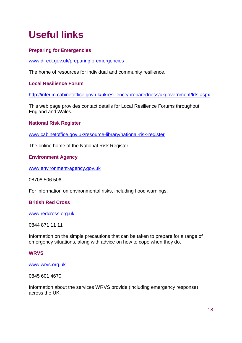# **Useful links**

#### **Preparing for Emergencies**

[www.direct.gov.uk/preparingforemergencies](http://www.direct.gov.uk/preparingforemergencies)

The home of resources for individual and community resilience.

#### **Local Resilience Forum**

<http://interim.cabinetoffice.gov.uk/ukresilience/preparedness/ukgovernment/lrfs.aspx>

This web page provides contact details for Local Resilience Forums throughout England and Wales.

#### **National Risk Register**

[www.cabinetoffice.gov.uk/resource-library/national-risk-register](http://www.cabinetoffice.gov.uk/resource-library/national-risk-register) 

The online home of the National Risk Register.

#### **Environment Agency**

[www.environment-agency.gov.uk](http://www.environment-agency.gov.uk/)

08708 506 506

For information on environmental risks, including flood warnings.

#### **British Red Cross**

[www.redcross.org.uk](http://www.redcross.org.uk/)

0844 871 11 11

Information on the simple precautions that can be taken to prepare for a range of emergency situations, along with advice on how to cope when they do.

#### **WRVS**

#### [www.wrvs.org.uk](http://www.wrvs.org.uk/)

0845 601 4670

Information about the services WRVS provide (including emergency response) across the UK.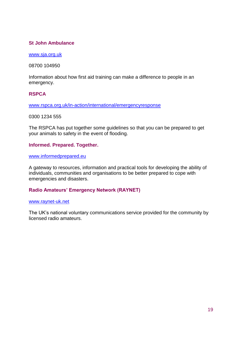#### **St John Ambulance**

[www.sja.org.uk](http://www.sja.org.uk/)

08700 104950

Information about how first aid training can make a difference to people in an emergency.

#### **RSPCA**

[www.rspca.org.uk/in-action/international/emergencyresponse](http://www.rspca.org.uk/in-action/international/emergencyresponse)

0300 1234 555

The RSPCA has put together some guidelines so that you can be prepared to get your animals to safety in the event of flooding.

#### **Informed. Prepared. Together.**

[www.informedprepared.eu](http://www.informedprepared.eu/)

A gateway to resources, information and practical tools for developing the ability of individuals, communities and organisations to be better prepared to cope with emergencies and disasters.

#### **Radio Amateurs' Emergency Network (RAYNET)**

#### [www.raynet-uk.net](http://www.raynet-uk.net/)

The UK's national voluntary communications service provided for the community by licensed radio amateurs.